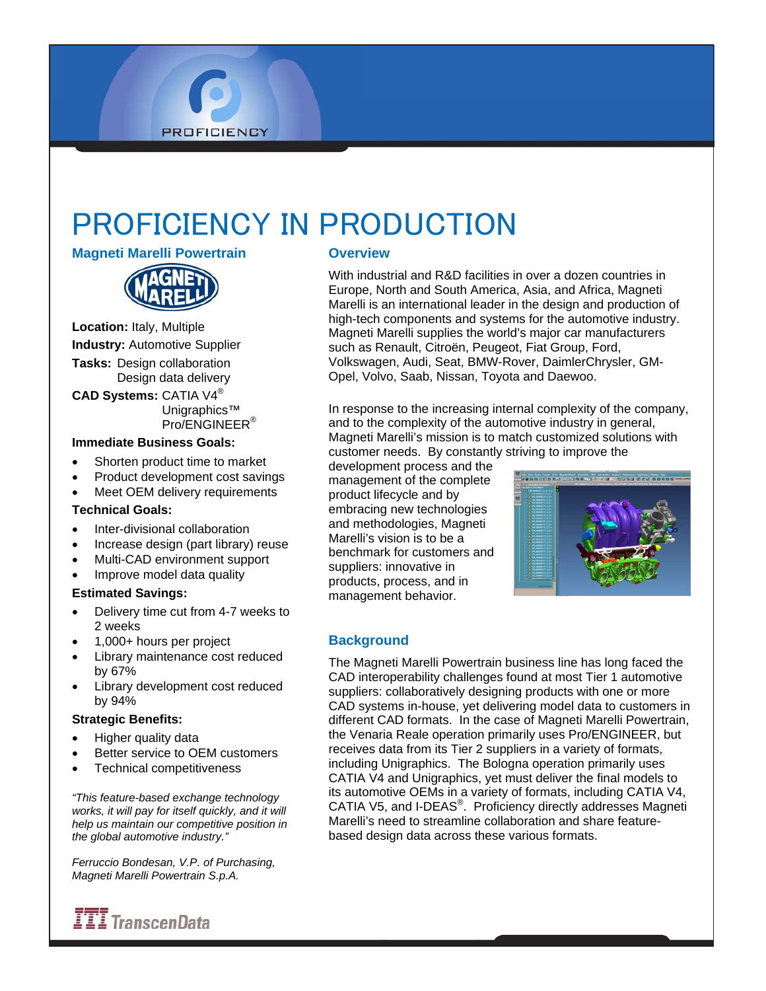# PROFICIENCY IN PRODUCTION

**Magneti Marelli Powertrain** 



**PROFICIENCY** 

**Location:** Italy, Multiple **Industry:** Automotive Supplier **Tasks:** Design collaboration

Design data delivery

**CAD Systems:** CATIA V4® Unigraphics™ Pro/ENGINEER®

#### **Immediate Business Goals:**

- Shorten product time to market
- Product development cost savings
- Meet OEM delivery requirements

## **Technical Goals:**

- Inter-divisional collaboration
- Increase design (part library) reuse
- Multi-CAD environment support
- Improve model data quality

#### **Estimated Savings:**

- Delivery time cut from 4-7 weeks to 2 weeks
- 1,000+ hours per project
- Library maintenance cost reduced by 67%
- Library development cost reduced by 94%

## **Strategic Benefits:**

- Higher quality data
- Better service to OEM customers
- Technical competitiveness

*"This feature-based exchange technology works, it will pay for itself quickly, and it will help us maintain our competitive position in the global automotive industry."* 

*Ferruccio Bondesan, V.P. of Purchasing, Magneti Marelli Powertrain S.p.A.* 



## **Overview**

With industrial and R&D facilities in over a dozen countries in Europe, North and South America, Asia, and Africa, Magneti Marelli is an international leader in the design and production of high-tech components and systems for the automotive industry. Magneti Marelli supplies the world's major car manufacturers such as Renault, Citroën, Peugeot, Fiat Group, Ford, Volkswagen, Audi, Seat, BMW-Rover, DaimlerChrysler, GM-Opel, Volvo, Saab, Nissan, Toyota and Daewoo.

In response to the increasing internal complexity of the company, and to the complexity of the automotive industry in general, Magneti Marelli's mission is to match customized solutions with customer needs. By constantly striving to improve the

development process and the management of the complete product lifecycle and by embracing new technologies and methodologies, Magneti Marelli's vision is to be a benchmark for customers and suppliers: innovative in products, process, and in management behavior.



## **Background**

The Magneti Marelli Powertrain business line has long faced the CAD interoperability challenges found at most Tier 1 automotive suppliers: collaboratively designing products with one or more CAD systems in-house, yet delivering model data to customers in different CAD formats. In the case of Magneti Marelli Powertrain, the Venaria Reale operation primarily uses Pro/ENGINEER, but receives data from its Tier 2 suppliers in a variety of formats, including Unigraphics. The Bologna operation primarily uses CATIA V4 and Unigraphics, yet must deliver the final models to its automotive OEMs in a variety of formats, including CATIA V4, CATIA V5, and I-DEAS<sup>®</sup>. Proficiency directly addresses Magneti Marelli's need to streamline collaboration and share featurebased design data across these various formats.